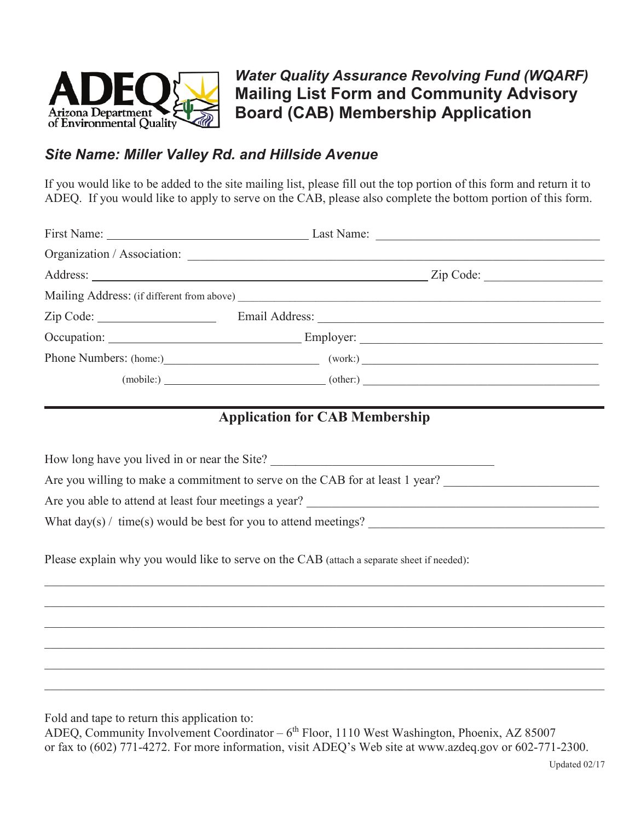

## *Site Name: Miller Valley Rd. and Hillside Avenue*

If you would like to be added to the site mailing list, please fill out the top portion of this form and return it to ADEQ. If you would like to apply to serve on the CAB, please also complete the bottom portion of this form.

|                                        | First Name: Last Name: Last Name: Last Name: |
|----------------------------------------|----------------------------------------------|
|                                        |                                              |
|                                        |                                              |
|                                        |                                              |
|                                        |                                              |
|                                        |                                              |
| Phone Numbers: (home:) (work:) (work:) |                                              |
| $(mobile: )$ (other:)                  |                                              |

## **Application for CAB Membership**

How long have you lived in or near the Site? Are you willing to make a commitment to serve on the CAB for at least 1 year? Are you able to attend at least four meetings a year? What day(s) / time(s) would be best for you to attend meetings?

 $\_$  , and the set of the set of the set of the set of the set of the set of the set of the set of the set of the set of the set of the set of the set of the set of the set of the set of the set of the set of the set of th  $\_$  , and the set of the set of the set of the set of the set of the set of the set of the set of the set of the set of the set of the set of the set of the set of the set of the set of the set of the set of the set of th  $\_$  , and the set of the set of the set of the set of the set of the set of the set of the set of the set of the set of the set of the set of the set of the set of the set of the set of the set of the set of the set of th  $\_$  , and the set of the set of the set of the set of the set of the set of the set of the set of the set of the set of the set of the set of the set of the set of the set of the set of the set of the set of the set of th  $\_$  , and the set of the set of the set of the set of the set of the set of the set of the set of the set of the set of the set of the set of the set of the set of the set of the set of the set of the set of the set of th  $\_$  , and the set of the set of the set of the set of the set of the set of the set of the set of the set of the set of the set of the set of the set of the set of the set of the set of the set of the set of the set of th

Please explain why you would like to serve on the CAB (attach a separate sheet if needed):

Fold and tape to return this application to:

ADEQ, Community Involvement Coordinator – 6<sup>th</sup> Floor, 1110 West Washington, Phoenix, AZ 85007 or fax to (602) 771-4272. For more information, visit ADEQ's Web site at www.azdeq.gov or 602-771-2300.